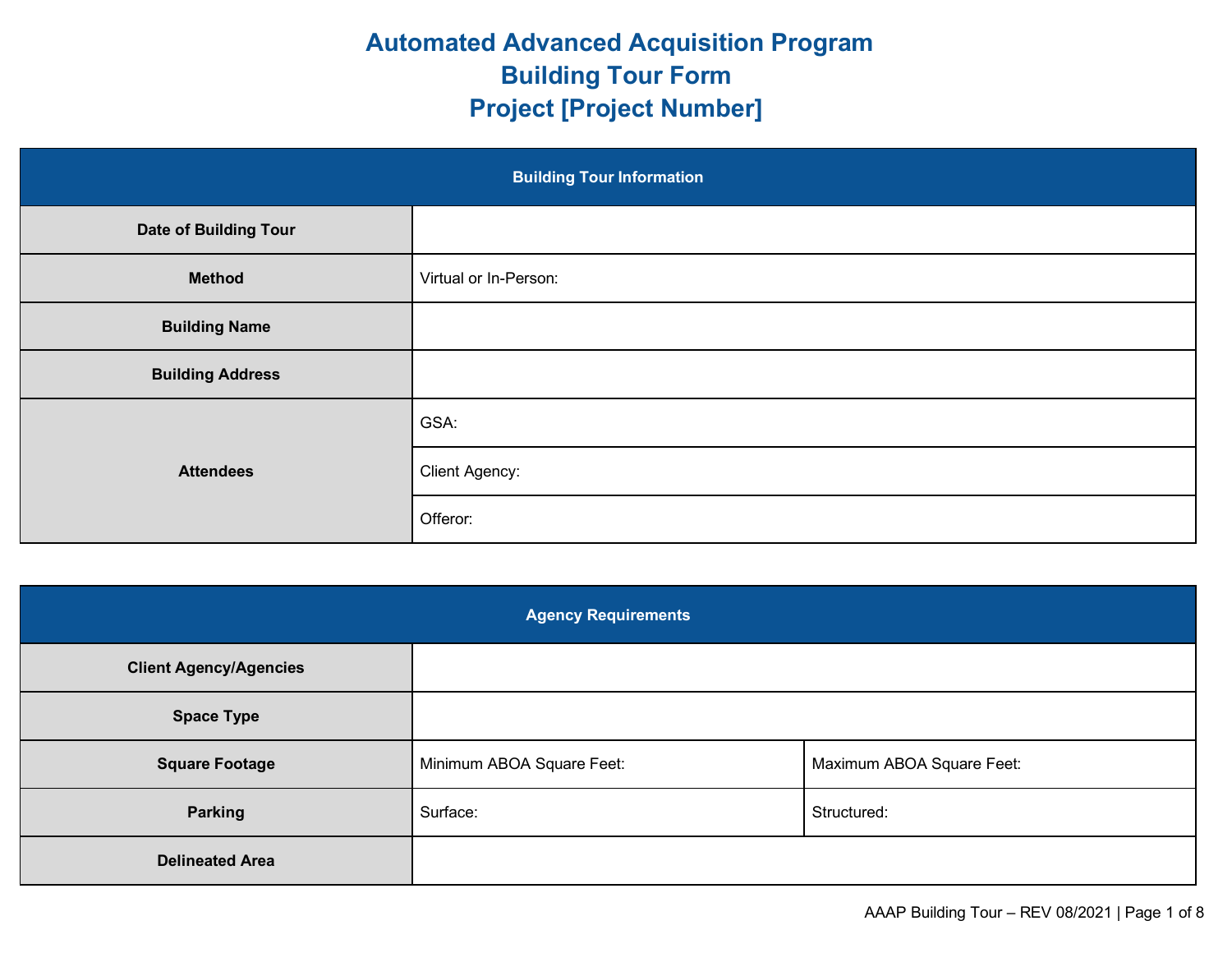## **Automated Advanced Acquisition Program Building Tour Form Project [Project Number]**

| <b>Building Tour Information</b> |                       |  |
|----------------------------------|-----------------------|--|
| <b>Date of Building Tour</b>     |                       |  |
| <b>Method</b>                    | Virtual or In-Person: |  |
| <b>Building Name</b>             |                       |  |
| <b>Building Address</b>          |                       |  |
| <b>Attendees</b>                 | GSA:                  |  |
|                                  | <b>Client Agency:</b> |  |
|                                  | Offeror:              |  |

| <b>Agency Requirements</b>    |                           |                           |  |
|-------------------------------|---------------------------|---------------------------|--|
| <b>Client Agency/Agencies</b> |                           |                           |  |
| <b>Space Type</b>             |                           |                           |  |
| <b>Square Footage</b>         | Minimum ABOA Square Feet: | Maximum ABOA Square Feet: |  |
| <b>Parking</b>                | Surface:                  | Structured:               |  |
| <b>Delineated Area</b>        |                           |                           |  |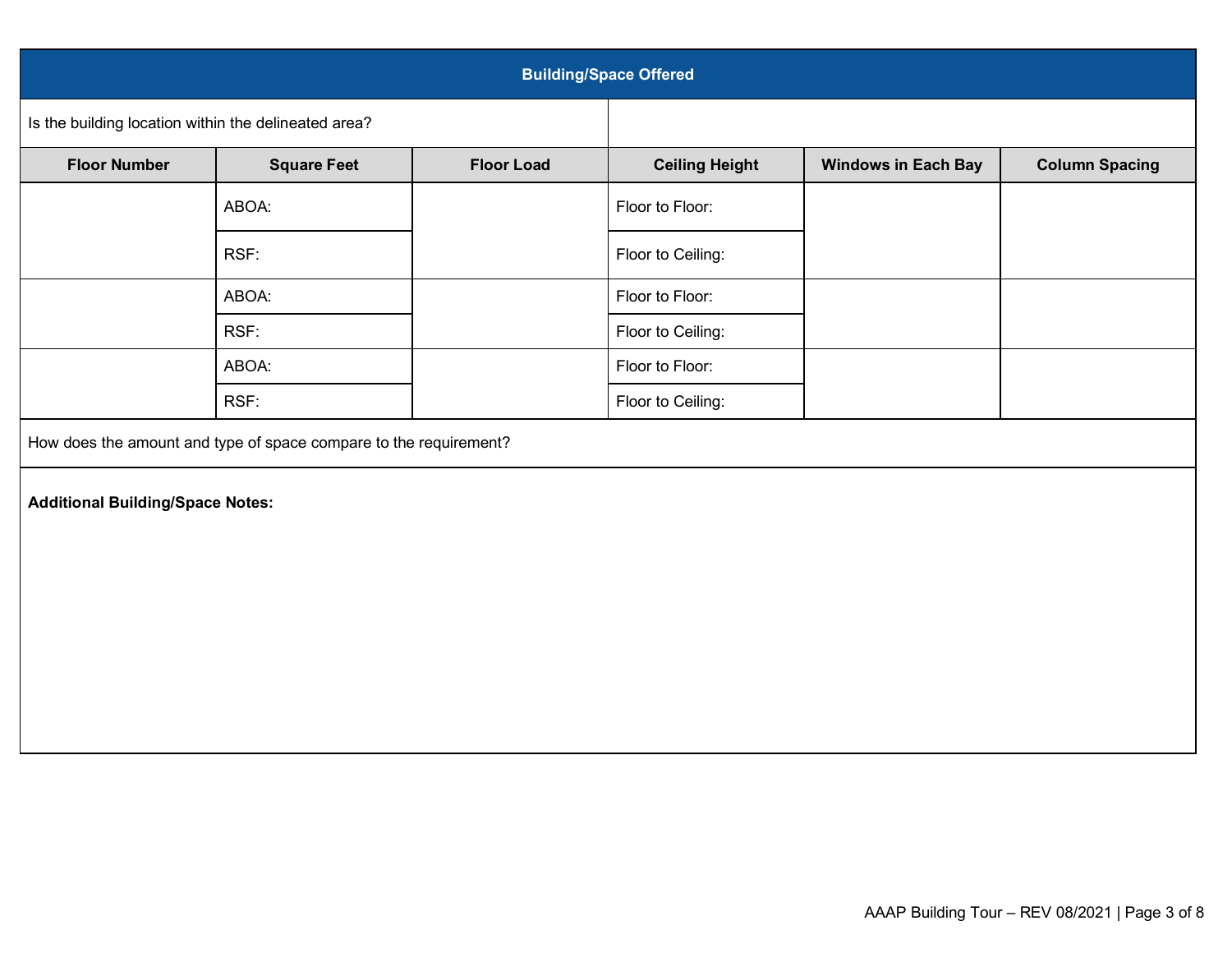| <b>Building/Space Offered</b>                                     |                    |                   |                       |                            |                       |
|-------------------------------------------------------------------|--------------------|-------------------|-----------------------|----------------------------|-----------------------|
| Is the building location within the delineated area?              |                    |                   |                       |                            |                       |
| <b>Floor Number</b>                                               | <b>Square Feet</b> | <b>Floor Load</b> | <b>Ceiling Height</b> | <b>Windows in Each Bay</b> | <b>Column Spacing</b> |
|                                                                   | ABOA:              |                   | Floor to Floor:       |                            |                       |
|                                                                   | RSF:               |                   | Floor to Ceiling:     |                            |                       |
|                                                                   | ABOA:              |                   | Floor to Floor:       |                            |                       |
|                                                                   | RSF:               |                   | Floor to Ceiling:     |                            |                       |
|                                                                   | ABOA:              |                   | Floor to Floor:       |                            |                       |
|                                                                   | RSF:               |                   | Floor to Ceiling:     |                            |                       |
| How does the amount and type of space compare to the requirement? |                    |                   |                       |                            |                       |
| <b>Additional Building/Space Notes:</b>                           |                    |                   |                       |                            |                       |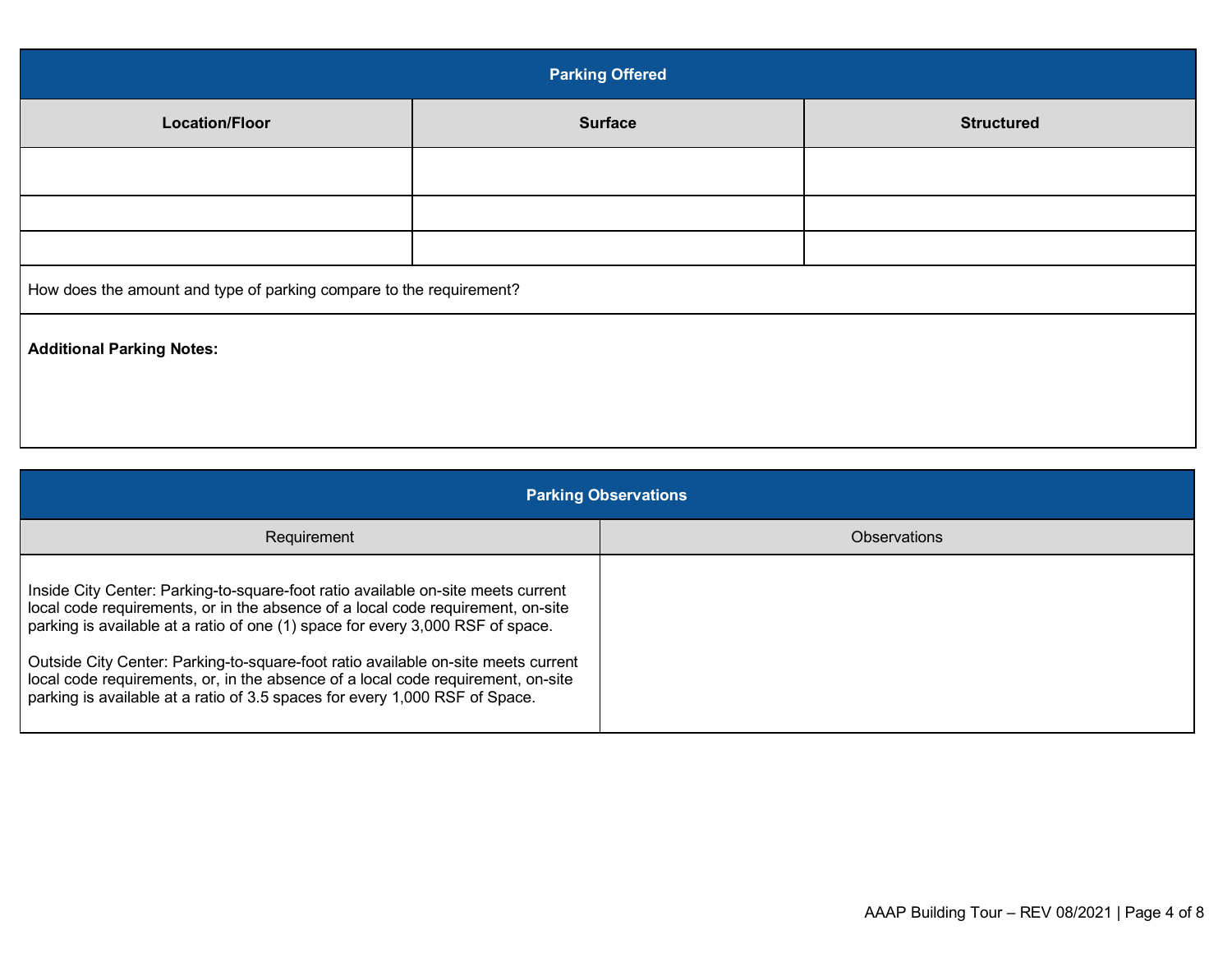| <b>Parking Offered</b>                                              |                |                   |  |
|---------------------------------------------------------------------|----------------|-------------------|--|
| <b>Location/Floor</b>                                               | <b>Surface</b> | <b>Structured</b> |  |
|                                                                     |                |                   |  |
|                                                                     |                |                   |  |
|                                                                     |                |                   |  |
| How does the amount and type of parking compare to the requirement? |                |                   |  |
| <b>Additional Parking Notes:</b>                                    |                |                   |  |
|                                                                     |                |                   |  |
|                                                                     |                |                   |  |

| <b>Parking Observations</b>                                                                                                                                                                                                                                                                                                                                                                                                                                                                                   |              |  |
|---------------------------------------------------------------------------------------------------------------------------------------------------------------------------------------------------------------------------------------------------------------------------------------------------------------------------------------------------------------------------------------------------------------------------------------------------------------------------------------------------------------|--------------|--|
| Requirement                                                                                                                                                                                                                                                                                                                                                                                                                                                                                                   | Observations |  |
| Inside City Center: Parking-to-square-foot ratio available on-site meets current<br>local code requirements, or in the absence of a local code requirement, on-site<br>parking is available at a ratio of one (1) space for every 3,000 RSF of space.<br>Outside City Center: Parking-to-square-foot ratio available on-site meets current<br>local code requirements, or, in the absence of a local code requirement, on-site<br>parking is available at a ratio of 3.5 spaces for every 1,000 RSF of Space. |              |  |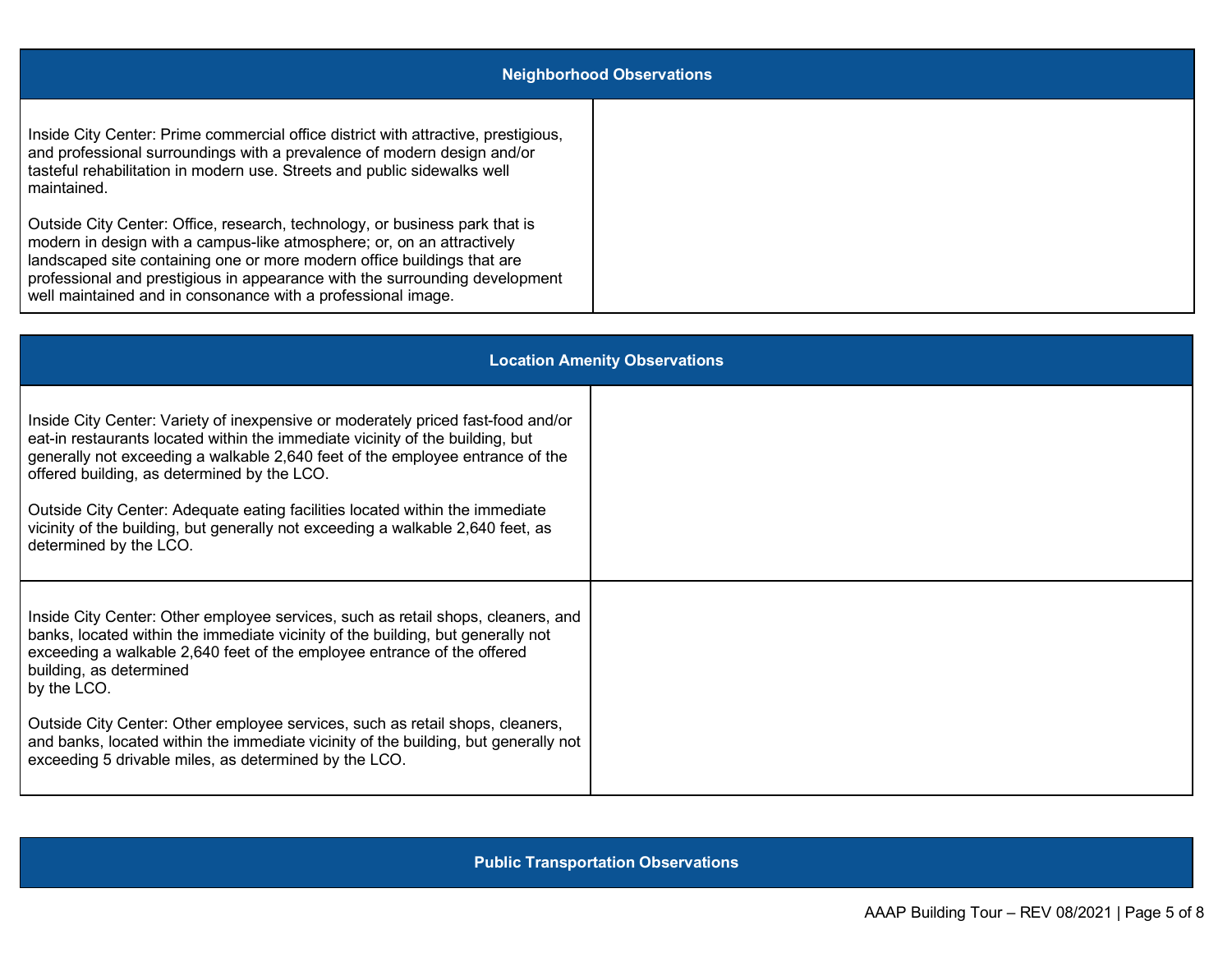| <b>Neighborhood Observations</b>                                                                                                                                                                                                                                                                                                                                                |  |  |  |
|---------------------------------------------------------------------------------------------------------------------------------------------------------------------------------------------------------------------------------------------------------------------------------------------------------------------------------------------------------------------------------|--|--|--|
| Inside City Center: Prime commercial office district with attractive, prestigious,<br>and professional surroundings with a prevalence of modern design and/or<br>tasteful rehabilitation in modern use. Streets and public sidewalks well<br>maintained.                                                                                                                        |  |  |  |
| Outside City Center: Office, research, technology, or business park that is<br>modern in design with a campus-like atmosphere; or, on an attractively<br>landscaped site containing one or more modern office buildings that are<br>professional and prestigious in appearance with the surrounding development<br>well maintained and in consonance with a professional image. |  |  |  |

| <b>Location Amenity Observations</b>                                                                                                                                                                                                                                                                                                                                                                                                                                                           |  |  |  |
|------------------------------------------------------------------------------------------------------------------------------------------------------------------------------------------------------------------------------------------------------------------------------------------------------------------------------------------------------------------------------------------------------------------------------------------------------------------------------------------------|--|--|--|
| Inside City Center: Variety of inexpensive or moderately priced fast-food and/or<br>eat-in restaurants located within the immediate vicinity of the building, but<br>generally not exceeding a walkable 2,640 feet of the employee entrance of the<br>offered building, as determined by the LCO.<br>Outside City Center: Adequate eating facilities located within the immediate<br>vicinity of the building, but generally not exceeding a walkable 2,640 feet, as<br>determined by the LCO. |  |  |  |
| Inside City Center: Other employee services, such as retail shops, cleaners, and<br>banks, located within the immediate vicinity of the building, but generally not<br>exceeding a walkable 2,640 feet of the employee entrance of the offered<br>building, as determined<br>by the LCO.<br>Outside City Center: Other employee services, such as retail shops, cleaners,                                                                                                                      |  |  |  |
| and banks, located within the immediate vicinity of the building, but generally not<br>exceeding 5 drivable miles, as determined by the LCO.                                                                                                                                                                                                                                                                                                                                                   |  |  |  |

**Public Transportation Observations**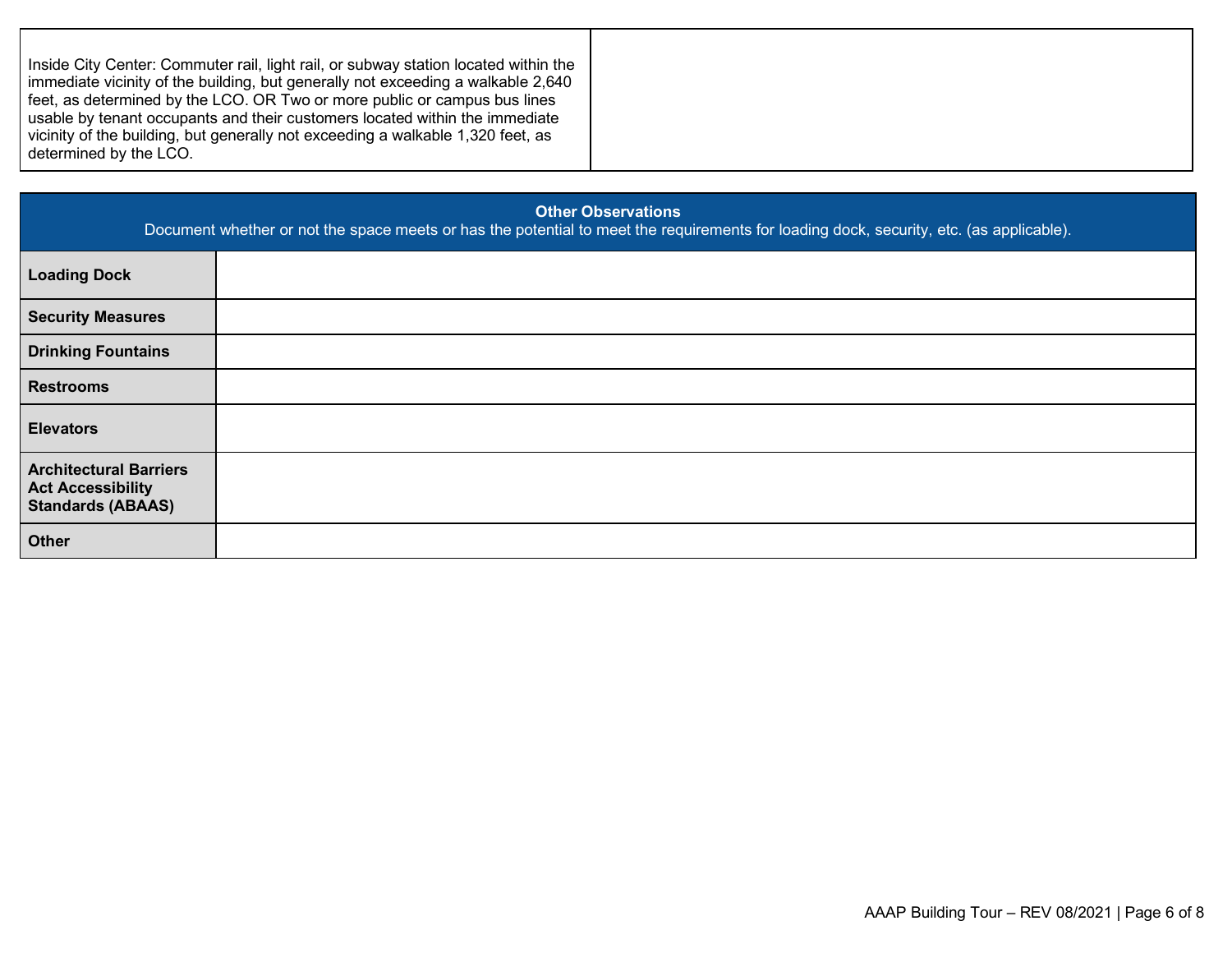|--|--|

| <b>Other Observations</b><br>Document whether or not the space meets or has the potential to meet the requirements for loading dock, security, etc. (as applicable). |  |  |  |
|----------------------------------------------------------------------------------------------------------------------------------------------------------------------|--|--|--|
| <b>Loading Dock</b>                                                                                                                                                  |  |  |  |
| <b>Security Measures</b>                                                                                                                                             |  |  |  |
| <b>Drinking Fountains</b>                                                                                                                                            |  |  |  |
| <b>Restrooms</b>                                                                                                                                                     |  |  |  |
| <b>Elevators</b>                                                                                                                                                     |  |  |  |
| <b>Architectural Barriers</b><br><b>Act Accessibility</b><br><b>Standards (ABAAS)</b>                                                                                |  |  |  |
| <b>Other</b>                                                                                                                                                         |  |  |  |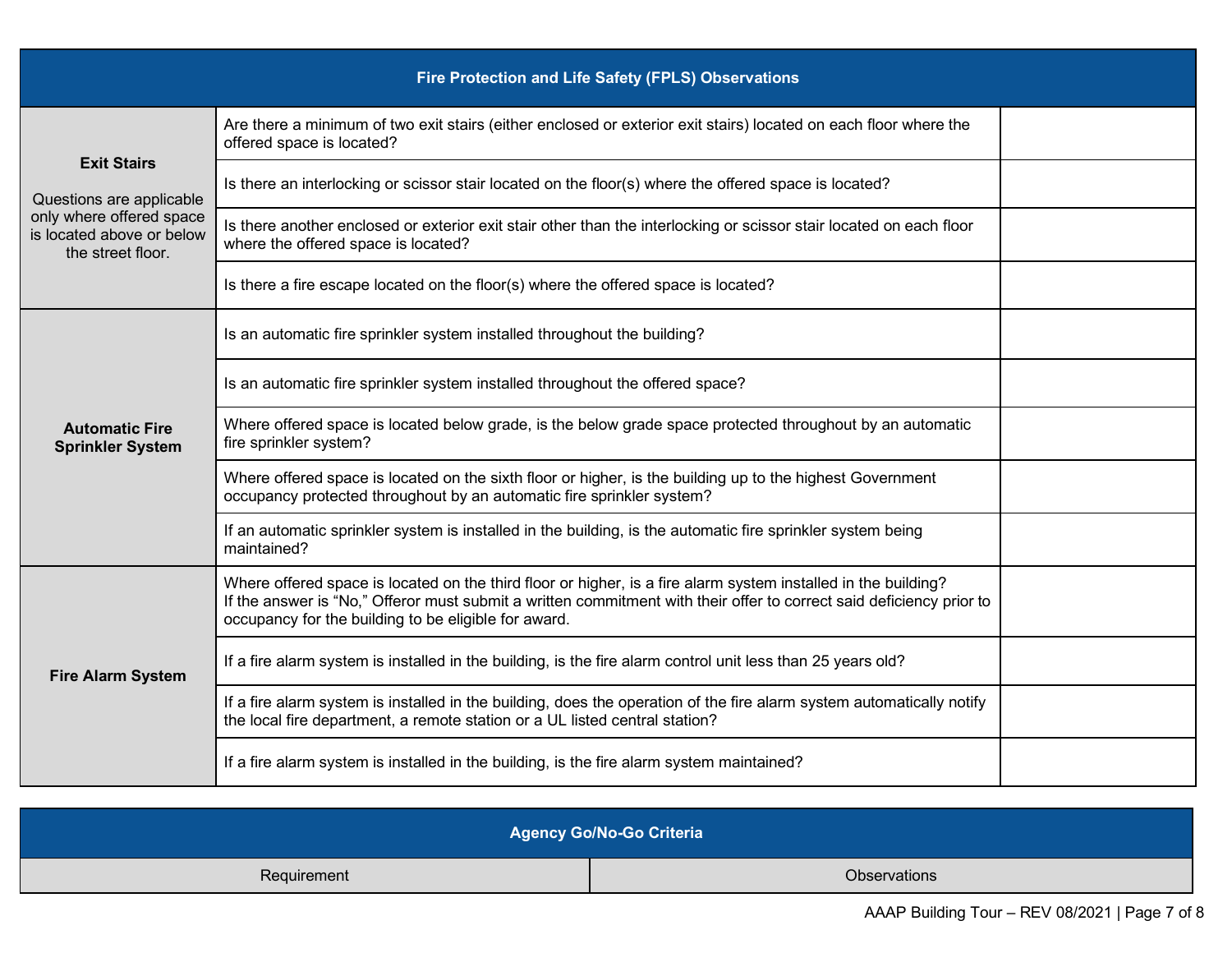| Fire Protection and Life Safety (FPLS) Observations                                                                          |                                                                                                                                                                                                                                                                                                |  |  |  |
|------------------------------------------------------------------------------------------------------------------------------|------------------------------------------------------------------------------------------------------------------------------------------------------------------------------------------------------------------------------------------------------------------------------------------------|--|--|--|
| <b>Exit Stairs</b><br>Questions are applicable<br>only where offered space<br>is located above or below<br>the street floor. | Are there a minimum of two exit stairs (either enclosed or exterior exit stairs) located on each floor where the<br>offered space is located?                                                                                                                                                  |  |  |  |
|                                                                                                                              | Is there an interlocking or scissor stair located on the floor(s) where the offered space is located?                                                                                                                                                                                          |  |  |  |
|                                                                                                                              | Is there another enclosed or exterior exit stair other than the interlocking or scissor stair located on each floor<br>where the offered space is located?                                                                                                                                     |  |  |  |
|                                                                                                                              | Is there a fire escape located on the floor(s) where the offered space is located?                                                                                                                                                                                                             |  |  |  |
| <b>Automatic Fire</b><br><b>Sprinkler System</b>                                                                             | Is an automatic fire sprinkler system installed throughout the building?                                                                                                                                                                                                                       |  |  |  |
|                                                                                                                              | Is an automatic fire sprinkler system installed throughout the offered space?                                                                                                                                                                                                                  |  |  |  |
|                                                                                                                              | Where offered space is located below grade, is the below grade space protected throughout by an automatic<br>fire sprinkler system?                                                                                                                                                            |  |  |  |
|                                                                                                                              | Where offered space is located on the sixth floor or higher, is the building up to the highest Government<br>occupancy protected throughout by an automatic fire sprinkler system?                                                                                                             |  |  |  |
|                                                                                                                              | If an automatic sprinkler system is installed in the building, is the automatic fire sprinkler system being<br>maintained?                                                                                                                                                                     |  |  |  |
| <b>Fire Alarm System</b>                                                                                                     | Where offered space is located on the third floor or higher, is a fire alarm system installed in the building?<br>If the answer is "No," Offeror must submit a written commitment with their offer to correct said deficiency prior to<br>occupancy for the building to be eligible for award. |  |  |  |
|                                                                                                                              | If a fire alarm system is installed in the building, is the fire alarm control unit less than 25 years old?                                                                                                                                                                                    |  |  |  |
|                                                                                                                              | If a fire alarm system is installed in the building, does the operation of the fire alarm system automatically notify<br>the local fire department, a remote station or a UL listed central station?                                                                                           |  |  |  |
|                                                                                                                              | If a fire alarm system is installed in the building, is the fire alarm system maintained?                                                                                                                                                                                                      |  |  |  |

| <b>Agency Go/No-Go Criteria</b> |              |  |  |
|---------------------------------|--------------|--|--|
| Requirement                     | Observations |  |  |